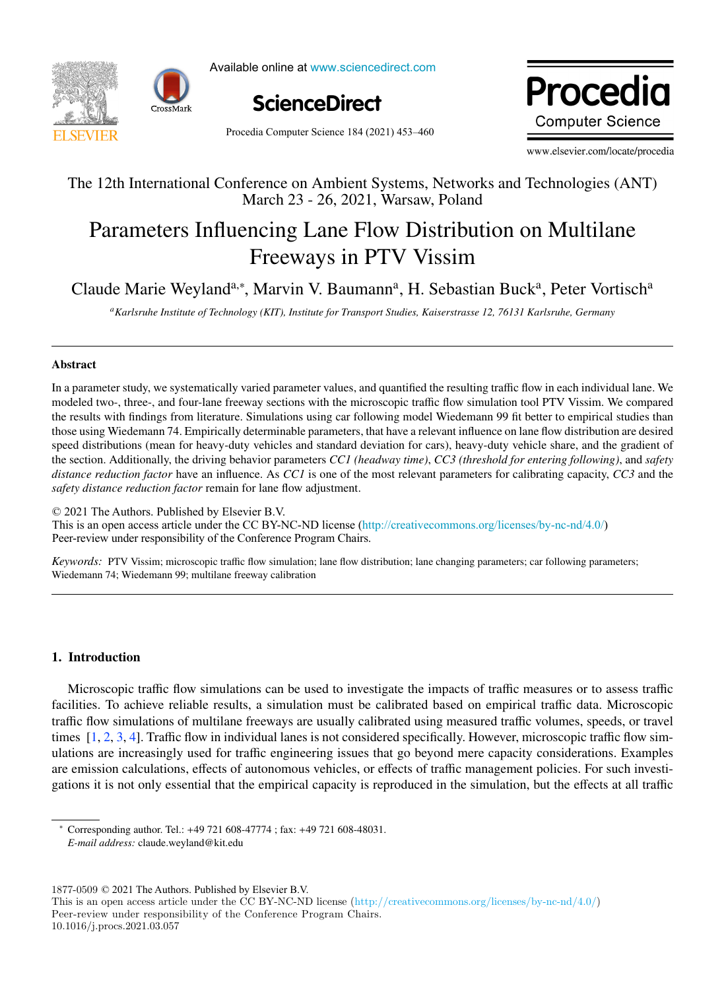



Available online at www.sciencedirect.com



Procedia Computer Science 184 (2021) 453-460

Procedia **Computer Science** 

www.elsevier.com/locate/procedia

## The 12th International Conference on Ambient Systems, Networks and Technologies (ANT) The 12th International Conference on Ambient Systems, Networks and Technologies (ANT) March 23 - 26, 2021, Warsaw, Poland

# Parameters Influencing Lane Flow Distribution on Multilane Parameters Influencing Lane Flow Distribution on Multilane Freeways in PTV Vissim Freeways in PTV Vissim

Claude Marie Weyland<sup>a,∗</sup>, Marvin V. Baumann<sup>a</sup>, H. Sebastian Buck<sup>a</sup>, Peter Vortisch<sup>a</sup>

e<br>Karlsruhe Institute of Technology (KIT), Institute for Transport Studies, Kaiserstrasse 12, 76131 Karlsruhe, Germany

# Abstract Abstract

In a parameter study, we systematically varied parameter values, and quantified the resulting traffic flow in each individual lane. We In a parameter study, we systematically varied parameter values, and quantified the resulting traffic flow in each individual lane. We modeled two-, three-, and four-lane freeway sections with the microscopic traffic flow simulation tool PTV Vissim. We compared the results with findings from literature. Simulations using car following model Wiedemann 99 fit better to empirical studies than those using Wiedemann 74. Empirically determinable parameters, that have a relevant influence on lane flow distribution are desired speed distributions (mean for heavy-duty vehicles and standard deviation for cars), heavy-duty vehicle share, and the gradient of the section. Additionally, the driving behavior parameters CC1 (headway time), CC3 (threshold for entering following), and safety *distance reduction factor* have an influence. As *CC1* is one of the most relevant parameters for calibrating capacity, *CC3* and the *safety distance reduction factor* remain for lane flow adjustment.

 $© 2021$  The Authors. Published by Elsevier B.V. This is an open access article under the CC BY-NC-ND license (<http://creativecommons.org/licenses/by-nc-nd/4.0/>) Peer-review under responsibility of the Conference Program Chairs. Peer-review under responsibility of the Conference Program Chairs.

*Keywords:* PTV Vissim; microscopic traffic flow simulation; lane flow distribution; lane changing parameters; car following parameters; Wiedemann 74; Wiedemann 99; multilane freeway calibration; lane changing parameters; care following parameters; care following parameters; care following parameters; care following parameters; care following parameters; ca Wiedemann 74; Wiedemann 99; multilane freeway calibration

## 1. Introduction

Microscopic traffic flow simulations can be used to investigate the impacts of traffic measures or to assess traffic facilities. To achieve reliable results, a simulation must be calibrated based on empirical traffic data. Microscopic traffic flow simulations of multilane freeways are usually calibrated using measured traffic volumes, speeds, or travel times [1, 2, 3, 4]. Traffic flow in individual lanes is not considered specifically. However, microscopic traffic flow simulations are increasingly used for traffic engineering issues that go beyond mere capacity considerations. Examples are emission calculations, effects of autonomous vehicles, or effects of traffic management policies. For such investigations it is not only essential that the empirical capacity is reproduced in the simulation, but the effects at all traffic gations it is not only estential that the empirical capacity is reproduced in the simulation, but the effects at all traffic

*E-mail address:* claude.weyland@kit.edu

 $1877-0509$   $\odot$  2021 The Authors. Published by Elsevier B.V.

<sup>∗</sup> Corresponding author. Tel.: +49 721 608-47774 ; fax: +49 721 608-48031. *E-mail address:* claude.weyland@kit.edu

<sup>1877-0509 © 2021</sup> The Authors. Published by Elsevier B.V.<br>This is an open access article under the CC BY-NC-ND license (http://creativecommons.org/licenses/by-nc-nd/4.0/) Peer-review under responsibility of the Conference Program Chairs. I ms is an open access article under the CC BY-NC-ND ficens

<sup>10.1016/</sup>j.procs.2021.03.057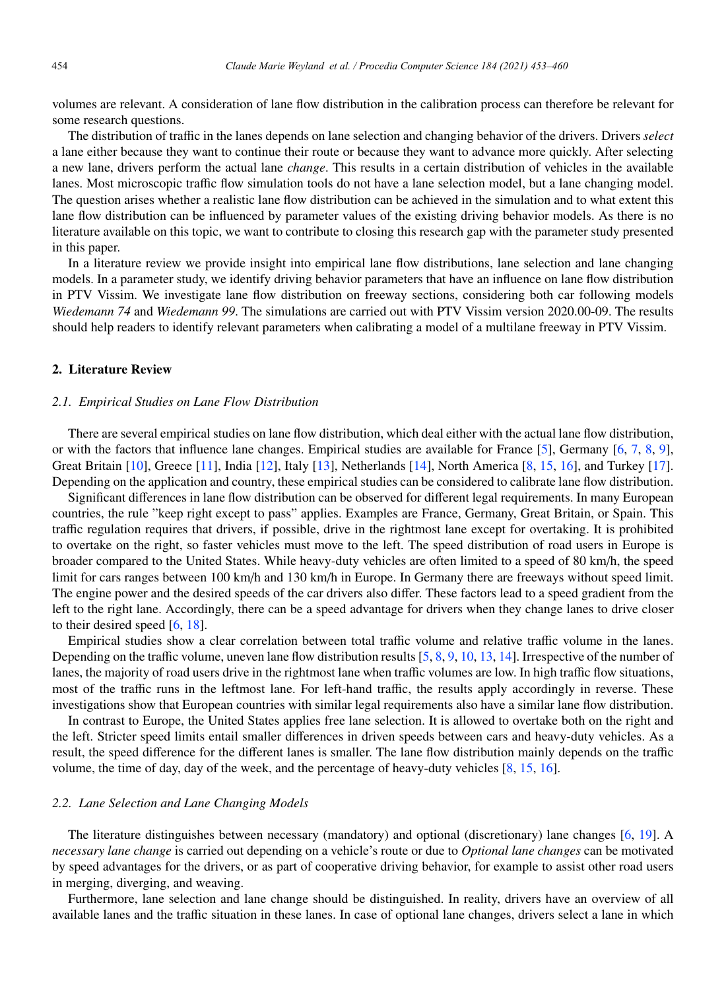volumes are relevant. A consideration of lane flow distribution in the calibration process can therefore be relevant for some research questions.

The distribution of traffic in the lanes depends on lane selection and changing behavior of the drivers. Drivers *select* a lane either because they want to continue their route or because they want to advance more quickly. After selecting a new lane, drivers perform the actual lane *change*. This results in a certain distribution of vehicles in the available lanes. Most microscopic traffic flow simulation tools do not have a lane selection model, but a lane changing model. The question arises whether a realistic lane flow distribution can be achieved in the simulation and to what extent this lane flow distribution can be influenced by parameter values of the existing driving behavior models. As there is no literature available on this topic, we want to contribute to closing this research gap with the parameter study presented in this paper.

In a literature review we provide insight into empirical lane flow distributions, lane selection and lane changing models. In a parameter study, we identify driving behavior parameters that have an influence on lane flow distribution in PTV Vissim. We investigate lane flow distribution on freeway sections, considering both car following models *Wiedemann 74* and *Wiedemann 99*. The simulations are carried out with PTV Vissim version 2020.00-09. The results should help readers to identify relevant parameters when calibrating a model of a multilane freeway in PTV Vissim.

#### 2. Literature Review

#### *2.1. Empirical Studies on Lane Flow Distribution*

There are several empirical studies on lane flow distribution, which deal either with the actual lane flow distribution, or with the factors that influence lane changes. Empirical studies are available for France [5], Germany [6, 7, 8, 9], Great Britain [10], Greece [11], India [12], Italy [13], Netherlands [14], North America [8, 15, 16], and Turkey [17]. Depending on the application and country, these empirical studies can be considered to calibrate lane flow distribution.

Significant differences in lane flow distribution can be observed for different legal requirements. In many European countries, the rule "keep right except to pass" applies. Examples are France, Germany, Great Britain, or Spain. This traffic regulation requires that drivers, if possible, drive in the rightmost lane except for overtaking. It is prohibited to overtake on the right, so faster vehicles must move to the left. The speed distribution of road users in Europe is broader compared to the United States. While heavy-duty vehicles are often limited to a speed of 80 km/h, the speed limit for cars ranges between 100 km/h and 130 km/h in Europe. In Germany there are freeways without speed limit. The engine power and the desired speeds of the car drivers also differ. These factors lead to a speed gradient from the left to the right lane. Accordingly, there can be a speed advantage for drivers when they change lanes to drive closer to their desired speed [6, 18].

Empirical studies show a clear correlation between total traffic volume and relative traffic volume in the lanes. Depending on the traffic volume, uneven lane flow distribution results [5, 8, 9, 10, 13, 14]. Irrespective of the number of lanes, the majority of road users drive in the rightmost lane when traffic volumes are low. In high traffic flow situations, most of the traffic runs in the leftmost lane. For left-hand traffic, the results apply accordingly in reverse. These investigations show that European countries with similar legal requirements also have a similar lane flow distribution.

In contrast to Europe, the United States applies free lane selection. It is allowed to overtake both on the right and the left. Stricter speed limits entail smaller differences in driven speeds between cars and heavy-duty vehicles. As a result, the speed difference for the different lanes is smaller. The lane flow distribution mainly depends on the traffic volume, the time of day, day of the week, and the percentage of heavy-duty vehicles [8, 15, 16].

#### *2.2. Lane Selection and Lane Changing Models*

The literature distinguishes between necessary (mandatory) and optional (discretionary) lane changes [6, 19]. A *necessary lane change* is carried out depending on a vehicle's route or due to *Optional lane changes* can be motivated by speed advantages for the drivers, or as part of cooperative driving behavior, for example to assist other road users in merging, diverging, and weaving.

Furthermore, lane selection and lane change should be distinguished. In reality, drivers have an overview of all available lanes and the traffic situation in these lanes. In case of optional lane changes, drivers select a lane in which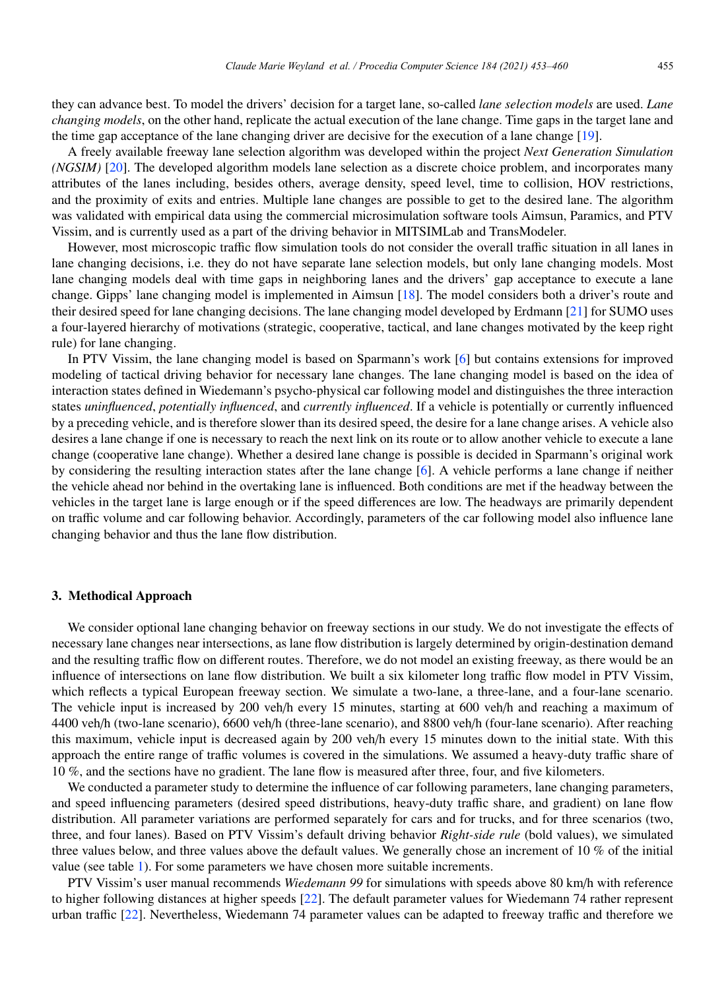they can advance best. To model the drivers' decision for a target lane, so-called *lane selection models* are used. *Lane changing models*, on the other hand, replicate the actual execution of the lane change. Time gaps in the target lane and the time gap acceptance of the lane changing driver are decisive for the execution of a lane change [19].

A freely available freeway lane selection algorithm was developed within the project *Next Generation Simulation (NGSIM)* [20]. The developed algorithm models lane selection as a discrete choice problem, and incorporates many attributes of the lanes including, besides others, average density, speed level, time to collision, HOV restrictions, and the proximity of exits and entries. Multiple lane changes are possible to get to the desired lane. The algorithm was validated with empirical data using the commercial microsimulation software tools Aimsun, Paramics, and PTV Vissim, and is currently used as a part of the driving behavior in MITSIMLab and TransModeler.

However, most microscopic traffic flow simulation tools do not consider the overall traffic situation in all lanes in lane changing decisions, i.e. they do not have separate lane selection models, but only lane changing models. Most lane changing models deal with time gaps in neighboring lanes and the drivers' gap acceptance to execute a lane change. Gipps' lane changing model is implemented in Aimsun [18]. The model considers both a driver's route and their desired speed for lane changing decisions. The lane changing model developed by Erdmann [21] for SUMO uses a four-layered hierarchy of motivations (strategic, cooperative, tactical, and lane changes motivated by the keep right rule) for lane changing.

In PTV Vissim, the lane changing model is based on Sparmann's work [6] but contains extensions for improved modeling of tactical driving behavior for necessary lane changes. The lane changing model is based on the idea of interaction states defined in Wiedemann's psycho-physical car following model and distinguishes the three interaction states *uninfluenced*, *potentially influenced*, and *currently influenced*. If a vehicle is potentially or currently influenced by a preceding vehicle, and is therefore slower than its desired speed, the desire for a lane change arises. A vehicle also desires a lane change if one is necessary to reach the next link on its route or to allow another vehicle to execute a lane change (cooperative lane change). Whether a desired lane change is possible is decided in Sparmann's original work by considering the resulting interaction states after the lane change [6]. A vehicle performs a lane change if neither the vehicle ahead nor behind in the overtaking lane is influenced. Both conditions are met if the headway between the vehicles in the target lane is large enough or if the speed differences are low. The headways are primarily dependent on traffic volume and car following behavior. Accordingly, parameters of the car following model also influence lane changing behavior and thus the lane flow distribution.

#### 3. Methodical Approach

We consider optional lane changing behavior on freeway sections in our study. We do not investigate the effects of necessary lane changes near intersections, as lane flow distribution is largely determined by origin-destination demand and the resulting traffic flow on different routes. Therefore, we do not model an existing freeway, as there would be an influence of intersections on lane flow distribution. We built a six kilometer long traffic flow model in PTV Vissim, which reflects a typical European freeway section. We simulate a two-lane, a three-lane, and a four-lane scenario. The vehicle input is increased by 200 veh/h every 15 minutes, starting at 600 veh/h and reaching a maximum of 4400 veh/h (two-lane scenario), 6600 veh/h (three-lane scenario), and 8800 veh/h (four-lane scenario). After reaching this maximum, vehicle input is decreased again by 200 veh/h every 15 minutes down to the initial state. With this approach the entire range of traffic volumes is covered in the simulations. We assumed a heavy-duty traffic share of 10 %, and the sections have no gradient. The lane flow is measured after three, four, and five kilometers.

We conducted a parameter study to determine the influence of car following parameters, lane changing parameters, and speed influencing parameters (desired speed distributions, heavy-duty traffic share, and gradient) on lane flow distribution. All parameter variations are performed separately for cars and for trucks, and for three scenarios (two, three, and four lanes). Based on PTV Vissim's default driving behavior *Right-side rule* (bold values), we simulated three values below, and three values above the default values. We generally chose an increment of 10 % of the initial value (see table 1). For some parameters we have chosen more suitable increments.

PTV Vissim's user manual recommends *Wiedemann 99* for simulations with speeds above 80 km/h with reference to higher following distances at higher speeds [22]. The default parameter values for Wiedemann 74 rather represent urban traffic [22]. Nevertheless, Wiedemann 74 parameter values can be adapted to freeway traffic and therefore we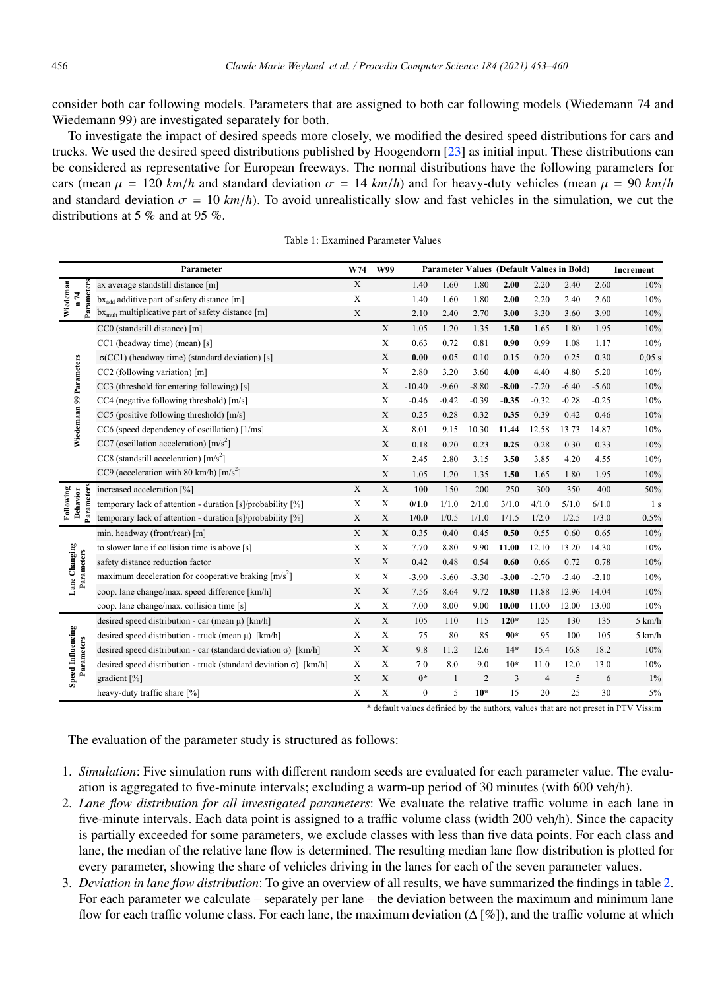consider both car following models. Parameters that are assigned to both car following models (Wiedemann 74 and Wiedemann 99) are investigated separately for both.

To investigate the impact of desired speeds more closely, we modified the desired speed distributions for cars and trucks. We used the desired speed distributions published by Hoogendorn [23] as initial input. These distributions can be considered as representative for European freeways. The normal distributions have the following parameters for cars (mean  $\mu = 120$  km/*h* and standard deviation  $\sigma = 14$  km/*h*) and for heavy-duty vehicles (mean  $\mu = 90$  km/*h* and standard deviation  $\sigma = 10$  km/h). To avoid unrealistically slow and fast vehicles in the simulation, we cut the distributions at 5 % and at 95 %.

|                             |            | Parameter                                                                | W74         | W99         |              |         |         | Parameter Values (Default Values in Bold) |                |         |         | Increment        |
|-----------------------------|------------|--------------------------------------------------------------------------|-------------|-------------|--------------|---------|---------|-------------------------------------------|----------------|---------|---------|------------------|
| Wiedeman<br>n 74            |            | ax average standstill distance [m]                                       | $\mathbf X$ |             | 1.40         | 1.60    | 1.80    | 2.00                                      | 2.20           | 2.40    | 2.60    | 10%              |
|                             | ameters    | $bx_{add}$ additive part of safety distance [m]                          | $\mathbf X$ |             | 1.40         | 1.60    | 1.80    | 2.00                                      | 2.20           | 2.40    | 2.60    | 10%              |
|                             | 론          | $bxmult$ multiplicative part of safety distance [m]                      | X           |             | 2.10         | 2.40    | 2.70    | 3.00                                      | 3.30           | 3.60    | 3.90    | 10%              |
|                             |            | CC0 (standstill distance) [m]                                            |             | $\mathbf X$ | 1.05         | 1.20    | 1.35    | 1.50                                      | 1.65           | 1.80    | 1.95    | 10%              |
|                             |            | CC1 (headway time) (mean) [s]                                            |             | $\mathbf X$ | 0.63         | 0.72    | 0.81    | 0.90                                      | 0.99           | 1.08    | 1.17    | 10%              |
|                             |            | $\sigma(CCl)$ (headway time) (standard deviation) [s]                    |             | X           | 0.00         | 0.05    | 0.10    | 0.15                                      | 0.20           | 0.25    | 0.30    | 0.05 s           |
|                             |            | CC2 (following variation) [m]                                            |             | X           | 2.80         | 3.20    | 3.60    | 4.00                                      | 4.40           | 4.80    | 5.20    | 10%              |
|                             |            | CC3 (threshold for entering following) [s]                               |             | X           | $-10.40$     | $-9.60$ | $-8.80$ | $-8.00$                                   | $-7.20$        | $-6.40$ | $-5.60$ | 10%              |
| Wiedemann 99 Parameters     |            | CC4 (negative following threshold) [m/s]                                 |             | $\mathbf X$ | $-0.46$      | $-0.42$ | $-0.39$ | $-0.35$                                   | $-0.32$        | $-0.28$ | $-0.25$ | 10%              |
|                             |            | CC5 (positive following threshold) [m/s]                                 |             | $\mathbf X$ | 0.25         | 0.28    | 0.32    | 0.35                                      | 0.39           | 0.42    | 0.46    | 10%              |
|                             |            | CC6 (speed dependency of oscillation) [1/ms]                             |             | X           | 8.01         | 9.15    | 10.30   | 11.44                                     | 12.58          | 13.73   | 14.87   | 10%              |
|                             |            | CC7 (oscillation acceleration) $[m/s^2]$                                 |             | $\mathbf X$ | 0.18         | 0.20    | 0.23    | 0.25                                      | 0.28           | 0.30    | 0.33    | 10%              |
|                             |            | CC8 (standstill acceleration) $\lceil m/s^2 \rceil$                      |             | X           | 2.45         | 2.80    | 3.15    | 3.50                                      | 3.85           | 4.20    | 4.55    | 10%              |
|                             |            | CC9 (acceleration with 80 km/h) $\lceil m/s^2 \rceil$                    |             | X           | 1.05         | 1.20    | 1.35    | 1.50                                      | 1.65           | 1.80    | 1.95    | 10%              |
| Following<br>Behavior       |            | increased acceleration [%]                                               | X           | $\mathbf X$ | 100          | 150     | 200     | 250                                       | 300            | 350     | 400     | 50%              |
|                             | Parameters | temporary lack of attention - duration [s]/probability [%]               | X           | X           | 0/1.0        | 1/1.0   | 2/1.0   | 3/1.0                                     | 4/1.0          | 5/1.0   | 6/1.0   | 1 <sub>s</sub>   |
|                             |            | temporary lack of attention - duration [s]/probability [%]               | $\mathbf X$ | X           | 1/0.0        | 1/0.5   | 1/1.0   | 1/1.5                                     | 1/2.0          | 1/2.5   | 1/3.0   | 0.5%             |
|                             |            | min. headway (front/rear) [m]                                            | $\mathbf X$ | X           | 0.35         | 0.40    | 0.45    | 0.50                                      | 0.55           | 0.60    | 0.65    | 10%              |
|                             |            | to slower lane if collision time is above [s]                            | X           | X           | 7.70         | 8.80    | 9.90    | 11.00                                     | 12.10          | 13.20   | 14.30   | 10%              |
| Lane Changing<br>Parameters |            | safety distance reduction factor                                         | X           | X           | 0.42         | 0.48    | 0.54    | 0.60                                      | 0.66           | 0.72    | 0.78    | 10%              |
|                             |            | maximum deceleration for cooperative braking $[m/s^2]$                   | X           | X           | $-3.90$      | $-3.60$ | $-3.30$ | $-3.00$                                   | $-2.70$        | $-2.40$ | $-2.10$ | 10%              |
|                             |            | coop. lane change/max. speed difference [km/h]                           | X           | X           | 7.56         | 8.64    | 9.72    | 10.80                                     | 11.88          | 12.96   | 14.04   | 10%              |
|                             |            | coop. lane change/max. collision time [s]                                | X           | X           | 7.00         | 8.00    | 9.00    | 10.00                                     | 11.00          | 12.00   | 13.00   | 10%              |
| <b>Speed Influencing</b>    | Parameters | desired speed distribution - car (mean $\mu$ ) [km/h]                    | $\mathbf X$ | $\mathbf X$ | 105          | 110     | 115     | $120*$                                    | 125            | 130     | 135     | 5 km/h           |
|                             |            | desired speed distribution - truck (mean $\mu$ ) [km/h]                  | X           | X           | 75           | 80      | 85      | $90*$                                     | 95             | 100     | 105     | $5 \text{ km/h}$ |
|                             |            | desired speed distribution - car (standard deviation $\sigma$ ) [km/h]   | X           | X           | 9.8          | 11.2    | 12.6    | $14*$                                     | 15.4           | 16.8    | 18.2    | 10%              |
|                             |            | desired speed distribution - truck (standard deviation $\sigma$ ) [km/h] | X           | $\mathbf X$ | 7.0          | 8.0     | 9.0     | $10*$                                     | 11.0           | 12.0    | 13.0    | 10%              |
|                             |            | gradient $[\%]$                                                          | X           | X           | $0*$         | 1       | 2       | 3                                         | $\overline{4}$ | 5       | 6       | $1\%$            |
|                             |            | heavy-duty traffic share [%]                                             | $\mathbf X$ | X           | $\mathbf{0}$ | 5       | $10*$   | 15                                        | 20             | 25      | 30      | 5%               |

Table 1: Examined Parameter Values

\* default values definied by the authors, values that are not preset in PTV Vissim

The evaluation of the parameter study is structured as follows:

- 1. *Simulation*: Five simulation runs with different random seeds are evaluated for each parameter value. The evaluation is aggregated to five-minute intervals; excluding a warm-up period of 30 minutes (with 600 veh/h).
- 2. *Lane flow distribution for all investigated parameters*: We evaluate the relative traffic volume in each lane in five-minute intervals. Each data point is assigned to a traffic volume class (width 200 veh/h). Since the capacity is partially exceeded for some parameters, we exclude classes with less than five data points. For each class and lane, the median of the relative lane flow is determined. The resulting median lane flow distribution is plotted for every parameter, showing the share of vehicles driving in the lanes for each of the seven parameter values.
- 3. *Deviation in lane flow distribution*: To give an overview of all results, we have summarized the findings in table 2. For each parameter we calculate – separately per lane – the deviation between the maximum and minimum lane flow for each traffic volume class. For each lane, the maximum deviation ( $\Delta$  [%]), and the traffic volume at which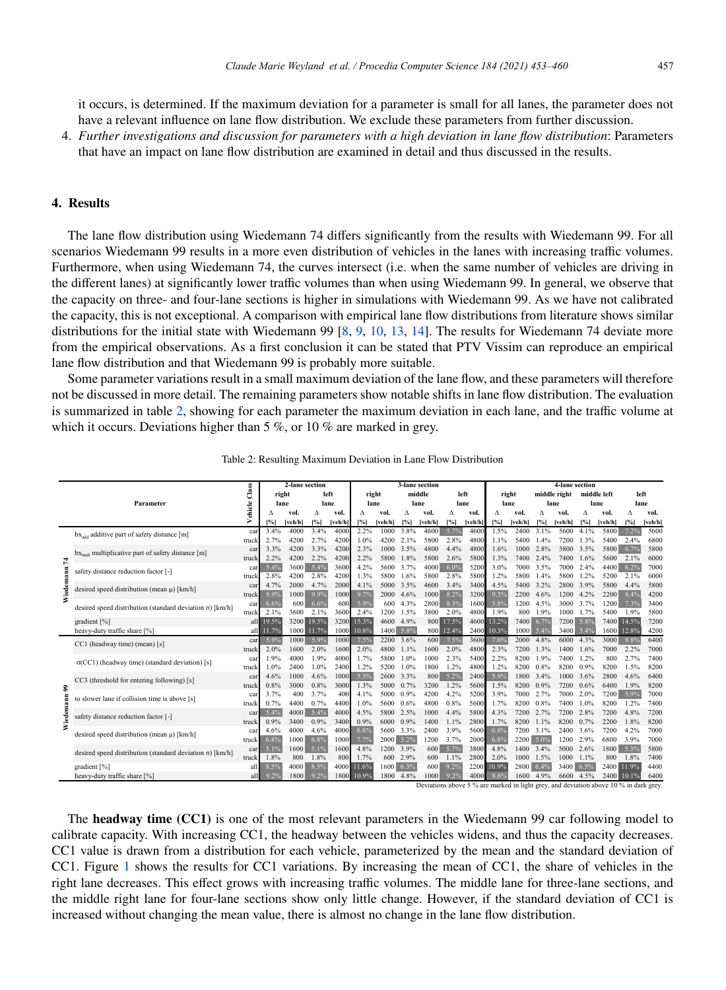it occurs, is determined. If the maximum deviation for a parameter is small for all lanes, the parameter does not have a relevant influence on lane flow distribution. We exclude these parameters from further discussion.

4. *Further investigations and discussion for parameters with a high deviation in lane flow distribution*: Parameters that have an impact on lane flow distribution are examined in detail and thus discussed in the results.

#### 4. Results

The lane flow distribution using Wiedemann 74 differs significantly from the results with Wiedemann 99. For all scenarios Wiedemann 99 results in a more even distribution of vehicles in the lanes with increasing traffic volumes. Furthermore, when using Wiedemann 74, the curves intersect (i.e. when the same number of vehicles are driving in the different lanes) at significantly lower traffic volumes than when using Wiedemann 99. In general, we observe that the capacity on three- and four-lane sections is higher in simulations with Wiedemann 99. As we have not calibrated the capacity, this is not exceptional. A comparison with empirical lane flow distributions from literature shows similar distributions for the initial state with Wiedemann 99 [8, 9, 10, 13, 14]. The results for Wiedemann 74 deviate more from the empirical observations. As a first conclusion it can be stated that PTV Vissim can reproduce an empirical lane flow distribution and that Wiedemann 99 is probably more suitable.

Some parameter variations result in a small maximum deviation of the lane flow, and these parameters will therefore not be discussed in more detail. The remaining parameters show notable shifts in lane flow distribution. The evaluation is summarized in table 2, showing for each parameter the maximum deviation in each lane, and the traffic volume at which it occurs. Deviations higher than 5 %, or 10 % are marked in grey.

|           |                                                                  |              |                                   | 2-lane section |              |              |               |              | 3-lane section |             |              |              |               | 4-lane section |                      |              |                     |              |              |              |  |
|-----------|------------------------------------------------------------------|--------------|-----------------------------------|----------------|--------------|--------------|---------------|--------------|----------------|-------------|--------------|--------------|---------------|----------------|----------------------|--------------|---------------------|--------------|--------------|--------------|--|
|           | Parameter                                                        |              | Class<br>right<br>Vehicle<br>lane |                | left<br>lane |              | right<br>lane |              | middle<br>lane |             | left<br>lane |              | right<br>lane |                | middle right<br>lane |              | middle left<br>lane |              | left<br>lane |              |  |
|           |                                                                  |              |                                   |                |              |              |               |              |                |             |              |              |               |                |                      |              |                     |              |              |              |  |
|           |                                                                  |              | Δ                                 | vol.           | Δ            | vol.         | л             | vol.         | Δ              | vol.        | Δ            | vol.         | Λ             | vol.           | л                    | vol.         | Δ                   | vol.         | Δ            | vol.         |  |
|           |                                                                  |              | 1%                                | [veh/h]        | [%]          | [veh/h]      | [%]           | [veh/h]      | $ \% $         | [veh/h]     | [%]          | [veh/h]      | [%]           | [veh/h]        | [%]                  | [veh/h]      | [%]                 | [veh/h]      | [%]          | [veh/h       |  |
|           | $bx_{add}$ additive part of safety distance [m]                  | car          | 3.4%                              | 4000           | 3.4%         | 4000         | 2.2%          | 1000         | 3.8%           | 4600        | 5.7%         | 4600         | 1.5%          | 2400           | 3.1%                 | 5600         | 4.1%                | 5800         | 7.2%         | 5600         |  |
|           |                                                                  | truck        | 2.7%                              | 4200           | 2.7%         | 4200         | 1.0%          | 4200         | 2.1%           | 5800        | 2.8%         | 480          | 1.1%          | 5400           | 1.4%                 | 7200         | 1.3%                | 5400         | 2.4%         | 6800         |  |
|           | $bxmult$ multiplicative part of safety distance [m]              | car          | 3.3%                              | 4200           | 3.3%         | 4200         | 2.3%          | 1000         | 3.5%           | 4800        | 4.4%         | 4800         | 1.6%          | 1000           | 2.8%                 | 5800         | 3.5%                |              | 5800 6.7%    | 5800         |  |
| 74        |                                                                  | truck        | 2.2%                              | 4200           | 2.2%         | 4200         | 2.2%          | 5800         | 1.8%           | 5800        | 2.6%         | 5800         | 1.3%          | 7400           | 2.4%                 | 7400         | 1.6%                | 5600         | 2.1%         | 6000         |  |
|           | safety distance reduction factor [-]                             | car          | 5.4%                              | 3600           | 5.4%         | 3600         | 4.2%          | 5600         | 3.7%           | 4000        | 6.0%         | 5200         | 3.0%          | 7000           | 3.5%                 | 7000         | 2.4%                | 4400         | 6.2%         | 7000         |  |
| Wiedemann |                                                                  | truck        | 2.8%                              | 4200           | 2.8%         | 4200         | 1.3%          | 5800         | 1.6%           | 5800        | 2.8%         | 5800         | 1.2%          | 5800           | 1.4%                 | 5800         | 1.2%                | 5200         | 2.1%         | 6000         |  |
|           | desired speed distribution (mean $\mu$ ) [km/h]                  | car          | 4.7%                              | 2000           | 4.7%         | 2000         | 4.1%          | 5000         | 3.5%           | 4600        | 3.4%         | 3400         | 4.5%          | 5400           | 3.2%                 | 2800         | 3.9%                | 5800         | 4.4%         | 5800         |  |
|           |                                                                  | truck        | 9.9%                              | 1000           | 9.9%         | 1000         | 9.7%          | 2000         | 4.6%           | 1000        | 8.2%         | 3200         | 9.5%          | 2200           | 4.6%                 | 1200         | 4.2%                | 2200         | 8.4%         | 4200         |  |
|           | desired speed distribution (standard deviation $\sigma$ ) [km/h] | car          | 6.6%                              | 600            | 6.6%         | 600          | 5.9%          | 600          | 4.3%           | 2800        | 8.3%         | 1600         | 5.8%          | 1200           | 4.5%                 | 3000         | 3.7%                | 1200         | 7.3%         | 3400         |  |
|           |                                                                  | truck        | 2.1%                              | 3600           | 2.1%         | 3600         | 2.4%          | 1200         | 1.5%           | 3800        | 2.0%         | 4800         | 1.9%          | 800            | 1.9%                 | 1000         | 1.7%                | 5400         | 1.9%         | 5800         |  |
|           | gradient [%]                                                     | all          | 19.5%                             |                | 3200 19.5%   | 3200         | 15.3%         | 4600         | 4.9%           | 800         | 17.5%        | 4600         | 13.2%         | 7400           | 6.7%                 | 7200         | 5.8%                |              | 7400 14.5%   | 7200         |  |
|           | heavy-duty traffic share [%]                                     | all          | 11.7%                             | 1000           | 11.7%        | 1000         | 10.8%         | 1400         | 5.8%           | 800         | 12.4%        | 2400         | 10.3%         | 1000           | 5.4%                 | 3400         | 5.4%                | 1600         | 12.8%        | 4200         |  |
|           | CC1 (headway time) (mean) [s]                                    | car          | 5.9%                              | 1000           | 5.9%         | 1000         | 7.5%          | 2200         | 3.6%           | 600         | 7.5%         | 3600         | 7.0%          | 2000           | 4.8%                 | 6000         | 4.3%                | 3000         | 8.8%         | 6400         |  |
|           |                                                                  | truck        | 2.0%                              | 1600           | 2.0%         | 1600         | 2.0%          | 4800         | 1.1%           | 1600        | 2.0%         | 4800         | 2.3%          | 7200           | 1.3%                 | 1400         | 1.6%                | 7000         | 2.2%         | 7000         |  |
|           | $\sigma(CC1)$ (headway time) (standard deviation) [s]            | car          | 1.9%                              | 4000           | 1.9%         | 4000         | 1.7%          | 5800         | 1.0%           | 1000        | 2.3%         | 5400         | 2.2%          | 8200           | 1.9%                 | 7400         | 1.2%                | 800          | 2.7%         | 7400         |  |
|           |                                                                  | truck        | 1.0%<br>4.6%                      | 2400<br>1000   | 1.0%<br>4.6% | 2400<br>1000 | 1.2%<br>5.3%  | 5200<br>2600 | 1.0%<br>3.3%   | 1800        | 1.2%<br>5.2% | 4800<br>2400 | 1.2%<br>5.9%  | 8200<br>1800   | 0.8%<br>3.4%         | 8200<br>1000 | 0.9%<br>3.6%        | 8200<br>2800 | 1.5%<br>4.6% | 8200<br>6400 |  |
|           | CC3 (threshold for entering following) [s]                       | car<br>truck | 0.8%                              | 3000           | 0.8%         | 3000         | 1.3%          | 5000         | 0.7%           | 800<br>3200 | 1.2%         | 5600         | 1.5%          | 8200           | 0.9%                 | 7200         | 0.6%                | 6400         | 1.9%         | 8200         |  |
| ଛ         |                                                                  |              | 3.7%                              | 400            | 3.7%         | 400          | 4.1%          | 5000         | 0.9%           | 4200        | 4.2%         | 5200         | 3.9%          | 7000           | 2.7%                 | 7000         |                     |              | 5.9%         | 7000         |  |
|           | to slower lane if collision time is above [s]                    | car<br>truck | 0.7%                              | 4400           | 0.7%         | 4400         | 1.0%          | 5600         | 0.6%           | 4800        | 0.8%         | 560          | 1.7%          | 8200           | 0.8%                 | 7400         | 2.0%<br>1.0%        | 7200<br>8200 | 1.2%         | 7400         |  |
| Wiedemann | safety distance reduction factor [-]                             |              | 5.4%                              | 4000           | 5.4%         | 4000         | 4.5%          | 5800         | 2.5%           | 1000        | 4.4%         | 5800         | 4.3%          | 7200           | 2.7%                 | 7200         | 2.8%                | 7200         | 4.8%         | 7200         |  |
|           |                                                                  | car<br>truck | 0.9%                              | 3400           | 0.9%         | 3400         | 0.9%          | 6000         | 0.9%           | 1400        | 1.1%         | 2800         | 1.7%          | 8200           | 1.1%                 | 8200         | 0.7%                | 2200         | 1.8%         | 8200         |  |
|           | desired speed distribution (mean $\mu$ ) [km/h]                  | car          | 4.6%                              | 4000           | 4.6%         | 4000         | 6.8%          | 5600         | 3.3%           | 2400        | 3.9%         | 5600         | 6.8%          | 7200           | 3.1%                 | 2400         | 3.6%                | 7200         | 4.2%         | 7000         |  |
|           |                                                                  | truck        | 6.8%                              | 1000           | 6.8%         | 1000         | 7.7%          | 2000         | 5.2%           | 1200        | 3.7%         | 2000         | 6.8%          |                | 2200 5.0%            | 1200         | 2.9%                | 6800         | 3.9%         | 7000         |  |
|           |                                                                  | car          | 5.1%                              | 1600           | 5.1%         | 1600         | 4.8%          | 1200         | 3.9%           | 600         | 5.7%         | 3800         | 4.8%          | 1400           | 3.4%                 | 5000         | 2.6%                | 1800         | 5.3%         | 5800         |  |
|           | desired speed distribution (standard deviation $\sigma$ ) [km/h] |              | 1.8%                              | 800            | 1.8%         | 800          | 1.7%          | 600          | 2.9%           | 600         | 1.1%         | 2800         | 2.0%          | 1000           | 1.5%                 | 1000         | 1.1%                | 800          | 1.8%         | 7400         |  |
|           | gradient [%]                                                     | truck<br>all | 8.5%                              | 4000           | 8.5%         |              | 4000 11.6%    | 1600         | 6.3%           | 600         | 9.2%         | 2200         | 10.9%         | 2800           | 6.4%                 | 3400         | 6.5%                |              | 2400 11.9%   | 4400         |  |
|           | heavy-duty traffic share [%]                                     | all          | 9.2%                              | 1800           | 9.2%         |              | 1800 10.9%    | 1800         | 4.8%           | 1000        | 9.2%         | 4000         | 8.8%          | 1600           | 4.9%                 | 6600         | 4.5%                |              | 2400 10.1%   | 6400         |  |

Table 2: Resulting Maximum Deviation in Lane Flow Distribution

Deviations above 5 % are marked in light grey, and deviation above 10 % in dark grey.

The **headway time** (CC1) is one of the most relevant parameters in the Wiedemann 99 car following model to calibrate capacity. With increasing CC1, the headway between the vehicles widens, and thus the capacity decreases. CC1 value is drawn from a distribution for each vehicle, parameterized by the mean and the standard deviation of CC1. Figure 1 shows the results for CC1 variations. By increasing the mean of CC1, the share of vehicles in the right lane decreases. This effect grows with increasing traffic volumes. The middle lane for three-lane sections, and the middle right lane for four-lane sections show only little change. However, if the standard deviation of CC1 is increased without changing the mean value, there is almost no change in the lane flow distribution.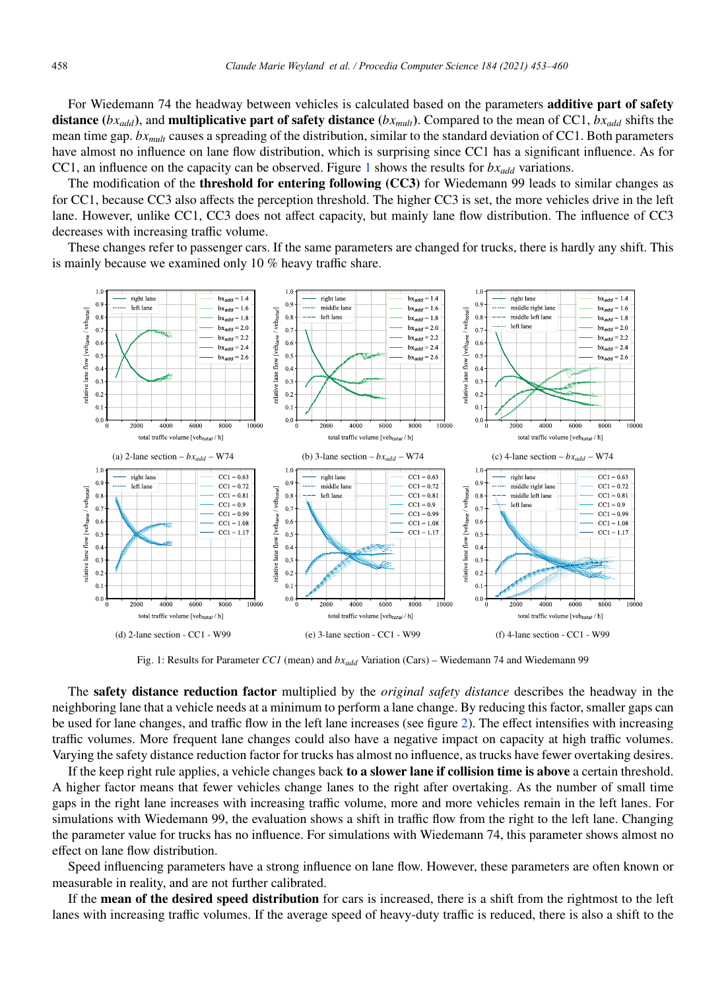For Wiedemann 74 the headway between vehicles is calculated based on the parameters **additive part of safety** distance ( $bx_{add}$ ), and multiplicative part of safety distance ( $bx_{mult}$ ). Compared to the mean of CC1,  $bx_{add}$  shifts the mean time gap. *bxmult* causes a spreading of the distribution, similar to the standard deviation of CC1. Both parameters have almost no influence on lane flow distribution, which is surprising since CC1 has a significant influence. As for CC1, an influence on the capacity can be observed. Figure 1 shows the results for  $b x_{add}$  variations.

The modification of the **threshold for entering following (CC3)** for Wiedemann 99 leads to similar changes as for CC1, because CC3 also affects the perception threshold. The higher CC3 is set, the more vehicles drive in the left lane. However, unlike CC1, CC3 does not affect capacity, but mainly lane flow distribution. The influence of CC3 decreases with increasing traffic volume.

These changes refer to passenger cars. If the same parameters are changed for trucks, there is hardly any shift. This is mainly because we examined only 10 % heavy traffic share.



Fig. 1: Results for Parameter *CC1* (mean) and *bxadd* Variation (Cars) – Wiedemann 74 and Wiedemann 99

The safety distance reduction factor multiplied by the *original safety distance* describes the headway in the neighboring lane that a vehicle needs at a minimum to perform a lane change. By reducing this factor, smaller gaps can be used for lane changes, and traffic flow in the left lane increases (see figure 2). The effect intensifies with increasing traffic volumes. More frequent lane changes could also have a negative impact on capacity at high traffic volumes. Varying the safety distance reduction factor for trucks has almost no influence, as trucks have fewer overtaking desires.

If the keep right rule applies, a vehicle changes back to a slower lane if collision time is above a certain threshold. A higher factor means that fewer vehicles change lanes to the right after overtaking. As the number of small time gaps in the right lane increases with increasing traffic volume, more and more vehicles remain in the left lanes. For simulations with Wiedemann 99, the evaluation shows a shift in traffic flow from the right to the left lane. Changing the parameter value for trucks has no influence. For simulations with Wiedemann 74, this parameter shows almost no effect on lane flow distribution.

Speed influencing parameters have a strong influence on lane flow. However, these parameters are often known or measurable in reality, and are not further calibrated.

If the mean of the desired speed distribution for cars is increased, there is a shift from the rightmost to the left lanes with increasing traffic volumes. If the average speed of heavy-duty traffic is reduced, there is also a shift to the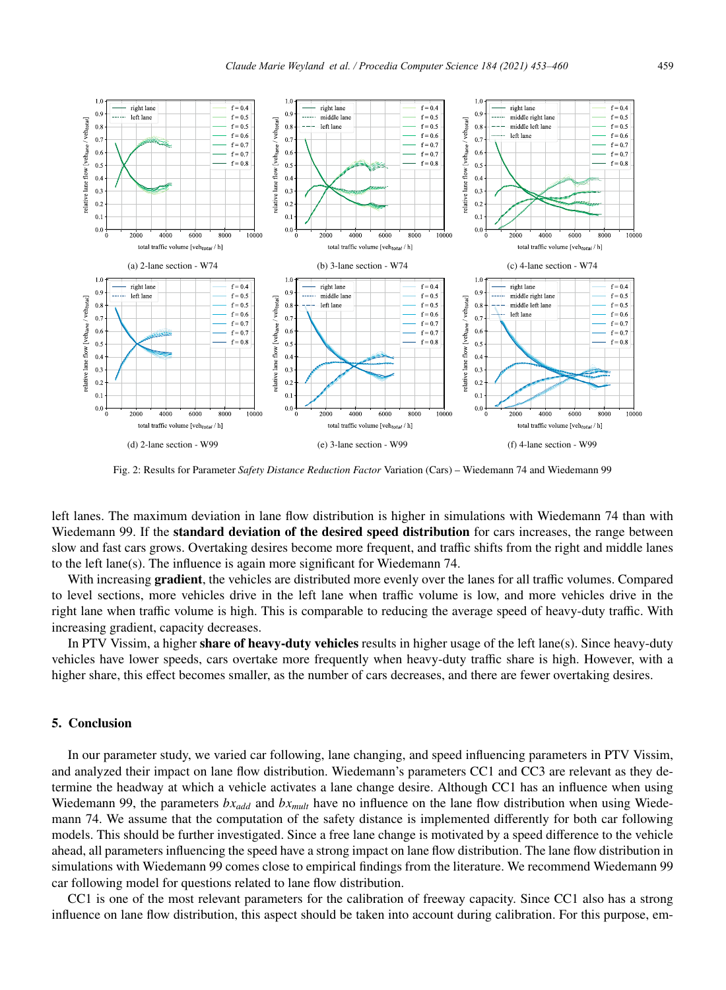

Fig. 2: Results for Parameter *Safety Distance Reduction Factor* Variation (Cars) – Wiedemann 74 and Wiedemann 99

left lanes. The maximum deviation in lane flow distribution is higher in simulations with Wiedemann 74 than with Wiedemann 99. If the standard deviation of the desired speed distribution for cars increases, the range between slow and fast cars grows. Overtaking desires become more frequent, and traffic shifts from the right and middle lanes to the left lane(s). The influence is again more significant for Wiedemann 74.

With increasing **gradient**, the vehicles are distributed more evenly over the lanes for all traffic volumes. Compared to level sections, more vehicles drive in the left lane when traffic volume is low, and more vehicles drive in the right lane when traffic volume is high. This is comparable to reducing the average speed of heavy-duty traffic. With increasing gradient, capacity decreases.

In PTV Vissim, a higher share of heavy-duty vehicles results in higher usage of the left lane(s). Since heavy-duty vehicles have lower speeds, cars overtake more frequently when heavy-duty traffic share is high. However, with a higher share, this effect becomes smaller, as the number of cars decreases, and there are fewer overtaking desires.

#### 5. Conclusion

In our parameter study, we varied car following, lane changing, and speed influencing parameters in PTV Vissim, and analyzed their impact on lane flow distribution. Wiedemann's parameters CC1 and CC3 are relevant as they determine the headway at which a vehicle activates a lane change desire. Although CC1 has an influence when using Wiedemann 99, the parameters *bx<sub>add</sub>* and *bx<sub>mult</sub>* have no influence on the lane flow distribution when using Wiedemann 74. We assume that the computation of the safety distance is implemented differently for both car following models. This should be further investigated. Since a free lane change is motivated by a speed difference to the vehicle ahead, all parameters influencing the speed have a strong impact on lane flow distribution. The lane flow distribution in simulations with Wiedemann 99 comes close to empirical findings from the literature. We recommend Wiedemann 99 car following model for questions related to lane flow distribution.

CC1 is one of the most relevant parameters for the calibration of freeway capacity. Since CC1 also has a strong influence on lane flow distribution, this aspect should be taken into account during calibration. For this purpose, em